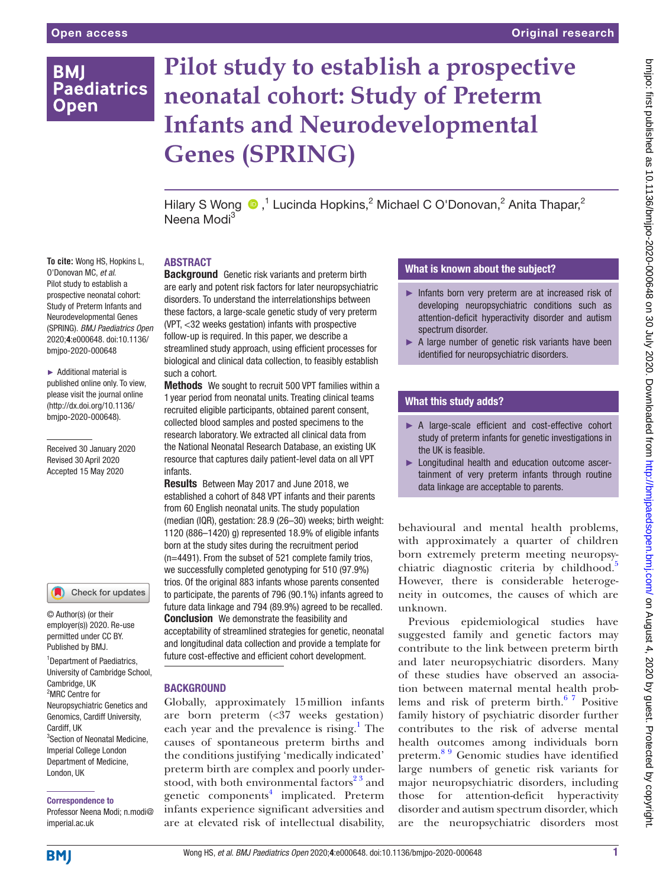# **BMI Paediatrics Open**

# **Pilot study to establish a prospective neonatal cohort: Study of Preterm Infants and Neurodevelopmental Genes (SPRING)**

HilaryS Wong  $\bigcirc$ ,<sup>1</sup> Lucinda Hopkins,<sup>2</sup> Michael C O'Donovan,<sup>2</sup> Anita Thapar,<sup>2</sup> Neena Modi<sup>3</sup>

**To cite:** Wong HS, Hopkins L, O'Donovan MC, *et al*. Pilot study to establish a prospective neonatal cohort: Study of Preterm Infants and Neurodevelopmental Genes (SPRING). *BMJ Paediatrics Open* 2020;4:e000648. doi:10.1136/ bmjpo-2020-000648

► Additional material is published online only. To view, please visit the journal online (http://dx.doi.org/10.1136/ bmjpo-2020-000648).

Received 30 January 2020 Revised 30 April 2020 Accepted 15 May 2020



© Author(s) (or their employer(s)) 2020. Re-use permitted under CC BY. Published by BMJ.

1 Department of Paediatrics, University of Cambridge School, Cambridge, UK 2 MRC Centre for Neuropsychiatric Genetics and Genomics, Cardiff University, Cardiff, UK 3 Section of Neonatal Medicine, Imperial College London Department of Medicine, London, UK

Correspondence to

Professor Neena Modi; n.modi@ imperial.ac.uk

# ABSTRACT

**Background** Genetic risk variants and preterm birth are early and potent risk factors for later neuropsychiatric disorders. To understand the interrelationships between these factors, a large-scale genetic study of very preterm (VPT, <32 weeks gestation) infants with prospective follow-up is required. In this paper, we describe a streamlined study approach, using efficient processes for biological and clinical data collection, to feasibly establish such a cohort.

Methods We sought to recruit 500 VPT families within a 1 year period from neonatal units. Treating clinical teams recruited eligible participants, obtained parent consent, collected blood samples and posted specimens to the research laboratory. We extracted all clinical data from the National Neonatal Research Database, an existing UK resource that captures daily patient-level data on all VPT infants.

Results Between May 2017 and June 2018, we established a cohort of 848 VPT infants and their parents from 60 English neonatal units. The study population (median (IQR), gestation: 28.9 (26–30) weeks; birth weight: 1120 (886–1420) g) represented 18.9% of eligible infants born at the study sites during the recruitment period (n=4491). From the subset of 521 complete family trios, we successfully completed genotyping for 510 (97.9%) trios. Of the original 883 infants whose parents consented to participate, the parents of 796 (90.1%) infants agreed to future data linkage and 794 (89.9%) agreed to be recalled. **Conclusion** We demonstrate the feasibility and acceptability of streamlined strategies for genetic, neonatal and longitudinal data collection and provide a template for future cost-effective and efficient cohort development.

# **BACKGROUND**

Globally, approximately 15million infants are born preterm (<37 weeks gestation) each year and the prevalence is rising.<sup>1</sup> The causes of spontaneous preterm births and the conditions justifying 'medically indicated' preterm birth are complex and poorly understood, with both environmental factors<sup>23</sup> and genetic components<sup>[4](#page-5-1)</sup> implicated. Preterm infants experience significant adversities and are at elevated risk of intellectual disability,

# What is known about the subject?

- ► Infants born very preterm are at increased risk of developing neuropsychiatric conditions such as attention-deficit hyperactivity disorder and autism spectrum disorder.
- ► A large number of genetic risk variants have been identified for neuropsychiatric disorders.

# What this study adds?

- ► A large-scale efficient and cost-effective cohort study of preterm infants for genetic investigations in the UK is feasible.
- ► Longitudinal health and education outcome ascertainment of very preterm infants through routine data linkage are acceptable to parents.

behavioural and mental health problems, with approximately a quarter of children born extremely preterm meeting neuropsy-chiatric diagnostic criteria by childhood.<sup>[5](#page-5-2)</sup> However, there is considerable heterogeneity in outcomes, the causes of which are unknown.

Previous epidemiological studies have suggested family and genetic factors may contribute to the link between preterm birth and later neuropsychiatric disorders. Many of these studies have observed an association between maternal mental health problems and risk of preterm birth. $67$  Positive family history of psychiatric disorder further contributes to the risk of adverse mental health outcomes among individuals born preterm.[8 9](#page-5-4) Genomic studies have identified large numbers of genetic risk variants for major neuropsychiatric disorders, including those for attention-deficit hyperactivity disorder and autism spectrum disorder, which are the neuropsychiatric disorders most

**BMJ**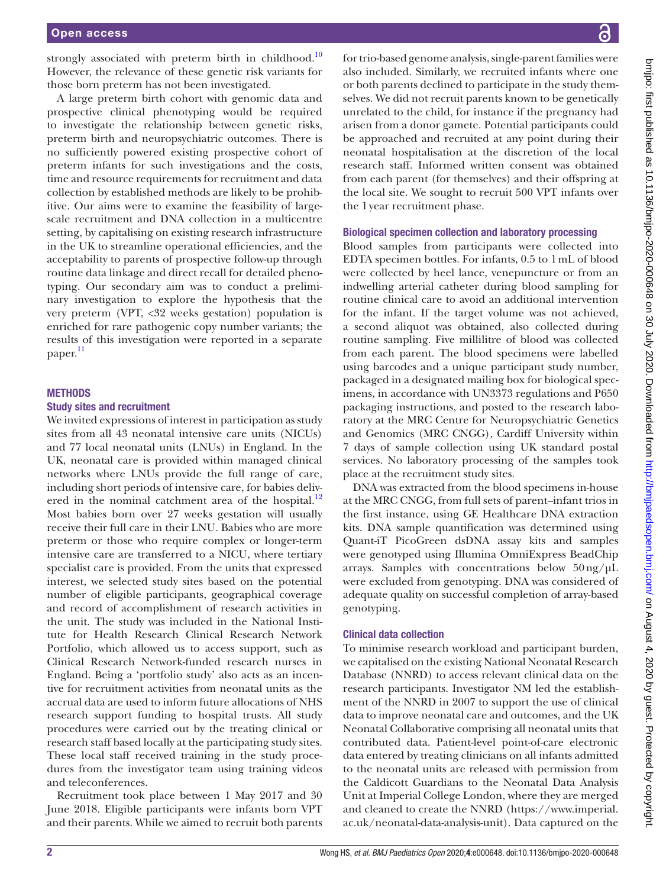strongly associated with preterm birth in childhood.<sup>10</sup> However, the relevance of these genetic risk variants for those born preterm has not been investigated.

A large preterm birth cohort with genomic data and prospective clinical phenotyping would be required to investigate the relationship between genetic risks, preterm birth and neuropsychiatric outcomes. There is no sufficiently powered existing prospective cohort of preterm infants for such investigations and the costs, time and resource requirements for recruitment and data collection by established methods are likely to be prohibitive. Our aims were to examine the feasibility of largescale recruitment and DNA collection in a multicentre setting, by capitalising on existing research infrastructure in the UK to streamline operational efficiencies, and the acceptability to parents of prospective follow-up through routine data linkage and direct recall for detailed phenotyping. Our secondary aim was to conduct a preliminary investigation to explore the hypothesis that the very preterm (VPT, <32 weeks gestation) population is enriched for rare pathogenic copy number variants; the results of this investigation were reported in a separate paper. [11](#page-5-6)

#### **METHODS**

#### Study sites and recruitment

We invited expressions of interest in participation as study sites from all 43 neonatal intensive care units (NICUs) and 77 local neonatal units (LNUs) in England. In the UK, neonatal care is provided within managed clinical networks where LNUs provide the full range of care, including short periods of intensive care, for babies deliv-ered in the nominal catchment area of the hospital.<sup>[12](#page-5-7)</sup> Most babies born over 27 weeks gestation will usually receive their full care in their LNU. Babies who are more preterm or those who require complex or longer-term intensive care are transferred to a NICU, where tertiary specialist care is provided. From the units that expressed interest, we selected study sites based on the potential number of eligible participants, geographical coverage and record of accomplishment of research activities in the unit. The study was included in the National Institute for Health Research Clinical Research Network Portfolio, which allowed us to access support, such as Clinical Research Network-funded research nurses in England. Being a 'portfolio study' also acts as an incentive for recruitment activities from neonatal units as the accrual data are used to inform future allocations of NHS research support funding to hospital trusts. All study procedures were carried out by the treating clinical or research staff based locally at the participating study sites. These local staff received training in the study procedures from the investigator team using training videos and teleconferences.

Recruitment took place between 1 May 2017 and 30 June 2018. Eligible participants were infants born VPT and their parents. While we aimed to recruit both parents

for trio-based genome analysis, single-parent families were also included. Similarly, we recruited infants where one or both parents declined to participate in the study themselves. We did not recruit parents known to be genetically unrelated to the child, for instance if the pregnancy had arisen from a donor gamete. Potential participants could be approached and recruited at any point during their neonatal hospitalisation at the discretion of the local research staff. Informed written consent was obtained from each parent (for themselves) and their offspring at the local site. We sought to recruit 500 VPT infants over the 1year recruitment phase.

#### Biological specimen collection and laboratory processing

Blood samples from participants were collected into EDTA specimen bottles. For infants, 0.5 to 1mL of blood were collected by heel lance, venepuncture or from an indwelling arterial catheter during blood sampling for routine clinical care to avoid an additional intervention for the infant. If the target volume was not achieved, a second aliquot was obtained, also collected during routine sampling. Five millilitre of blood was collected from each parent. The blood specimens were labelled using barcodes and a unique participant study number, packaged in a designated mailing box for biological specimens, in accordance with UN3373 regulations and P650 packaging instructions, and posted to the research laboratory at the MRC Centre for Neuropsychiatric Genetics and Genomics (MRC CNGG), Cardiff University within 7 days of sample collection using UK standard postal services. No laboratory processing of the samples took place at the recruitment study sites.

DNA was extracted from the blood specimens in-house at the MRC CNGG, from full sets of parent–infant trios in the first instance, using GE Healthcare DNA extraction kits. DNA sample quantification was determined using Quant-iT PicoGreen dsDNA assay kits and samples were genotyped using Illumina OmniExpress BeadChip arrays. Samples with concentrations below  $50 \text{ ng}/\text{µL}$ were excluded from genotyping. DNA was considered of adequate quality on successful completion of array-based genotyping.

#### Clinical data collection

To minimise research workload and participant burden, we capitalised on the existing National Neonatal Research Database (NNRD) to access relevant clinical data on the research participants. Investigator NM led the establishment of the NNRD in 2007 to support the use of clinical data to improve neonatal care and outcomes, and the UK Neonatal Collaborative comprising all neonatal units that contributed data. Patient-level point-of-care electronic data entered by treating clinicians on all infants admitted to the neonatal units are released with permission from the Caldicott Guardians to the Neonatal Data Analysis Unit at Imperial College London, where they are merged and cleaned to create the NNRD ([https://www.imperial.](https://www.imperial.ac.uk/neonatal-data-analysis-unit) [ac.uk/neonatal-data-analysis-unit](https://www.imperial.ac.uk/neonatal-data-analysis-unit)). Data captured on the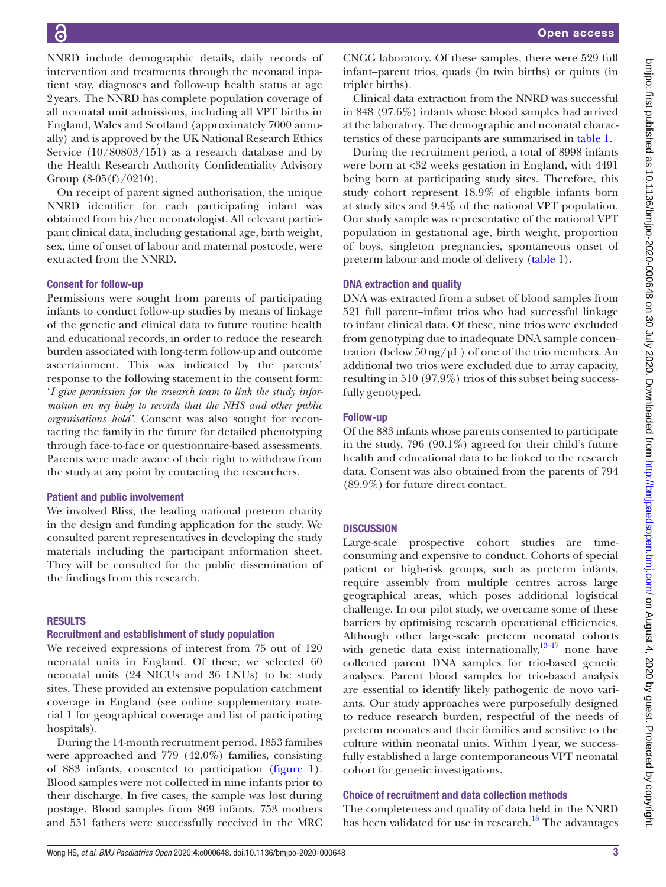NNRD include demographic details, daily records of intervention and treatments through the neonatal inpatient stay, diagnoses and follow-up health status at age 2years. The NNRD has complete population coverage of all neonatal unit admissions, including all VPT births in England, Wales and Scotland (approximately 7000 annually) and is approved by the UK National Research Ethics Service (10/80803/151) as a research database and by the Health Research Authority Confidentiality Advisory Group  $(8-05(f)/0210)$ .

On receipt of parent signed authorisation, the unique NNRD identifier for each participating infant was obtained from his/her neonatologist. All relevant participant clinical data, including gestational age, birth weight, sex, time of onset of labour and maternal postcode, were extracted from the NNRD.

#### Consent for follow-up

Permissions were sought from parents of participating infants to conduct follow-up studies by means of linkage of the genetic and clinical data to future routine health and educational records, in order to reduce the research burden associated with long-term follow-up and outcome ascertainment. This was indicated by the parents' response to the following statement in the consent form: '*I give permission for the research team to link the study information on my baby to records that the NHS and other public organisations hold'*. Consent was also sought for recontacting the family in the future for detailed phenotyping through face-to-face or questionnaire-based assessments. Parents were made aware of their right to withdraw from the study at any point by contacting the researchers.

# Patient and public involvement

We involved Bliss, the leading national preterm charity in the design and funding application for the study. We consulted parent representatives in developing the study materials including the participant information sheet. They will be consulted for the public dissemination of the findings from this research.

# **RESULTS**

# Recruitment and establishment of study population

We received expressions of interest from 75 out of 120 neonatal units in England. Of these, we selected 60 neonatal units (24 NICUs and 36 LNUs) to be study sites. These provided an extensive population catchment coverage in England (see [online supplementary mate](https://dx.doi.org/10.1136/bmjpo-2020-000648)[rial 1](https://dx.doi.org/10.1136/bmjpo-2020-000648) for geographical coverage and list of participating hospitals).

During the 14-month recruitment period, 1853 families were approached and 779 (42.0%) families, consisting of 883 infants, consented to participation ([figure](#page-3-0) 1). Blood samples were not collected in nine infants prior to their discharge. In five cases, the sample was lost during postage. Blood samples from 869 infants, 753 mothers and 551 fathers were successfully received in the MRC CNGG laboratory. Of these samples, there were 529 full infant–parent trios, quads (in twin births) or quints (in triplet births).

Clinical data extraction from the NNRD was successful in 848 (97.6%) infants whose blood samples had arrived at the laboratory. The demographic and neonatal characteristics of these participants are summarised in [table](#page-4-0) 1.

During the recruitment period, a total of 8998 infants were born at <32 weeks gestation in England, with 4491 being born at participating study sites. Therefore, this study cohort represent 18.9% of eligible infants born at study sites and 9.4% of the national VPT population. Our study sample was representative of the national VPT population in gestational age, birth weight, proportion of boys, singleton pregnancies, spontaneous onset of preterm labour and mode of delivery [\(table](#page-4-0) 1).

#### DNA extraction and quality

DNA was extracted from a subset of blood samples from 521 full parent–infant trios who had successful linkage to infant clinical data. Of these, nine trios were excluded from genotyping due to inadequate DNA sample concentration (below  $50 \text{ ng/}\mu\text{L}$ ) of one of the trio members. An additional two trios were excluded due to array capacity, resulting in 510 (97.9%) trios of this subset being successfully genotyped.

#### Follow-up

Of the 883 infants whose parents consented to participate in the study, 796 (90.1%) agreed for their child's future health and educational data to be linked to the research data. Consent was also obtained from the parents of 794 (89.9%) for future direct contact.

# **DISCUSSION**

Large-scale prospective cohort studies are timeconsuming and expensive to conduct. Cohorts of special patient or high-risk groups, such as preterm infants, require assembly from multiple centres across large geographical areas, which poses additional logistical challenge. In our pilot study, we overcame some of these barriers by optimising research operational efficiencies. Although other large-scale preterm neonatal cohorts with genetic data exist internationally,  $13-17$  none have collected parent DNA samples for trio-based genetic analyses. Parent blood samples for trio-based analysis are essential to identify likely pathogenic de novo variants. Our study approaches were purposefully designed to reduce research burden, respectful of the needs of preterm neonates and their families and sensitive to the culture within neonatal units. Within 1year, we successfully established a large contemporaneous VPT neonatal cohort for genetic investigations.

# Choice of recruitment and data collection methods

The completeness and quality of data held in the NNRD has been validated for use in research.<sup>[18](#page-5-9)</sup> The advantages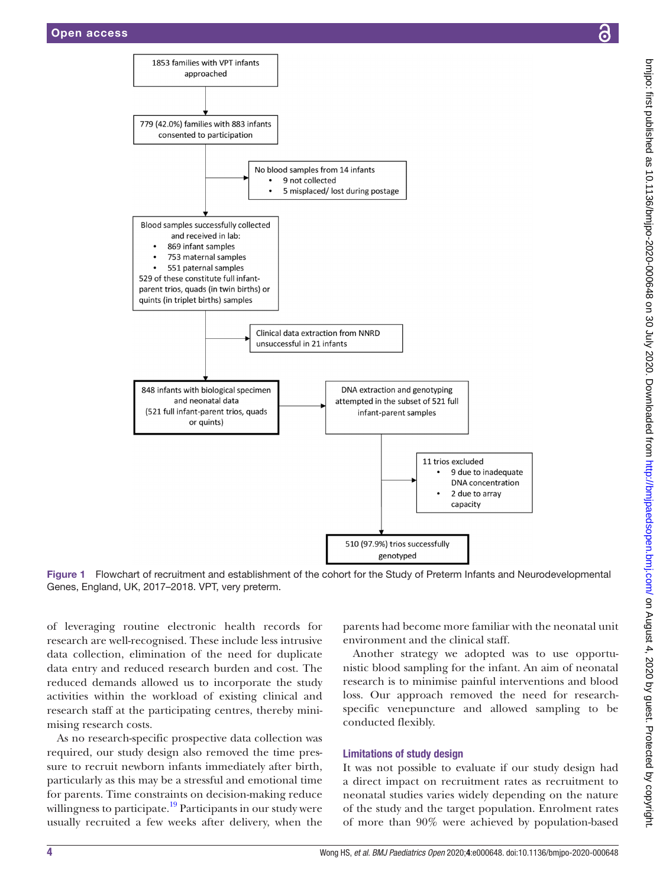

Figure 1 Flowchart of recruitment and establishment of the cohort for the Study of Preterm Infants and Neurodevelopmental Genes, England, UK, 2017–2018. VPT, very preterm.

of leveraging routine electronic health records for research are well-recognised. These include less intrusive data collection, elimination of the need for duplicate data entry and reduced research burden and cost. The reduced demands allowed us to incorporate the study activities within the workload of existing clinical and research staff at the participating centres, thereby minimising research costs.

As no research-specific prospective data collection was required, our study design also removed the time pressure to recruit newborn infants immediately after birth, particularly as this may be a stressful and emotional time for parents. Time constraints on decision-making reduce willingness to participate.<sup>19</sup> Participants in our study were usually recruited a few weeks after delivery, when the

<span id="page-3-0"></span>parents had become more familiar with the neonatal unit environment and the clinical staff.

Another strategy we adopted was to use opportunistic blood sampling for the infant. An aim of neonatal research is to minimise painful interventions and blood loss. Our approach removed the need for researchspecific venepuncture and allowed sampling to be conducted flexibly.

#### Limitations of study design

It was not possible to evaluate if our study design had a direct impact on recruitment rates as recruitment to neonatal studies varies widely depending on the nature of the study and the target population. Enrolment rates of more than 90% were achieved by population-based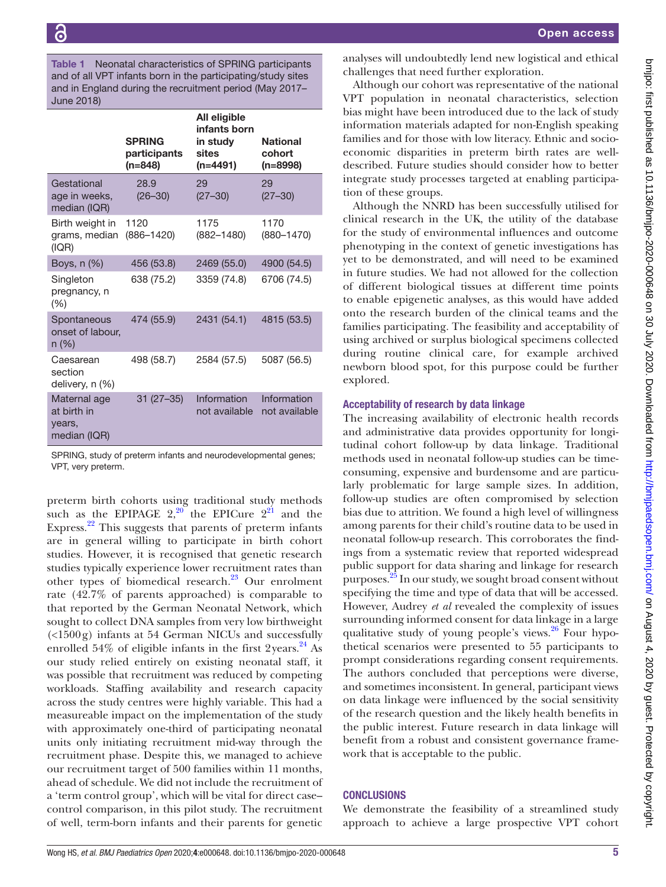<span id="page-4-0"></span>Table 1 Neonatal characteristics of SPRING participants and of all VPT infants born in the participating/study sites and in England during the recruitment period (May 2017– June 2018)

|                                                       | <b>SPRING</b><br>participants<br>$(n=848)$ | All eligible<br>infants born<br>in study<br>sites<br>$(n=4491)$ | <b>National</b><br>cohort<br>$(n=8998)$ |
|-------------------------------------------------------|--------------------------------------------|-----------------------------------------------------------------|-----------------------------------------|
| Gestational<br>age in weeks,<br>median (IQR)          | 28.9<br>$(26 - 30)$                        | 29<br>$(27 - 30)$                                               | 29<br>$(27 - 30)$                       |
| Birth weight in<br>grams, median<br>(IQR)             | 1120<br>$(886 - 1420)$                     | 1175<br>$(882 - 1480)$                                          | 1170<br>$(880 - 1470)$                  |
| Boys, $n$ $(\%)$                                      | 456 (53.8)                                 | 2469 (55.0)                                                     | 4900 (54.5)                             |
| Singleton<br>pregnancy, n<br>$(\% )$                  | 638 (75.2)                                 | 3359 (74.8)                                                     | 6706 (74.5)                             |
| Spontaneous<br>onset of labour,<br>$n (\%)$           | 474 (55.9)                                 | 2431 (54.1)                                                     | 4815 (53.5)                             |
| Caesarean<br>section<br>delivery, n (%)               | 498 (58.7)                                 | 2584 (57.5)                                                     | 5087 (56.5)                             |
| Maternal age<br>at birth in<br>years,<br>median (IQR) | $31(27-35)$                                | Information<br>not available                                    | Information<br>not available            |

SPRING, study of preterm infants and neurodevelopmental genes; VPT, very preterm.

preterm birth cohorts using traditional study methods such as the EPIPAGE  $2,2^{\circ}$  the EPICure  $2^{21}$  and the Express. $^{22}$  This suggests that parents of preterm infants are in general willing to participate in birth cohort studies. However, it is recognised that genetic research studies typically experience lower recruitment rates than other types of biomedical research. $^{23}$  $^{23}$  $^{23}$  Our enrolment rate (42.7% of parents approached) is comparable to that reported by the German Neonatal Network, which sought to collect DNA samples from very low birthweight (<1500g) infants at 54 German NICUs and successfully enrolled  $54\%$  of eligible infants in the first 2years.<sup>24</sup> As our study relied entirely on existing neonatal staff, it was possible that recruitment was reduced by competing workloads. Staffing availability and research capacity across the study centres were highly variable. This had a measureable impact on the implementation of the study with approximately one-third of participating neonatal units only initiating recruitment mid-way through the recruitment phase. Despite this, we managed to achieve our recruitment target of 500 families within 11 months, ahead of schedule. We did not include the recruitment of a 'term control group', which will be vital for direct case– control comparison, in this pilot study. The recruitment of well, term-born infants and their parents for genetic

analyses will undoubtedly lend new logistical and ethical challenges that need further exploration.

Although our cohort was representative of the national VPT population in neonatal characteristics, selection bias might have been introduced due to the lack of study information materials adapted for non-English speaking families and for those with low literacy. Ethnic and socioeconomic disparities in preterm birth rates are welldescribed. Future studies should consider how to better integrate study processes targeted at enabling participation of these groups.

Although the NNRD has been successfully utilised for clinical research in the UK, the utility of the database for the study of environmental influences and outcome phenotyping in the context of genetic investigations has yet to be demonstrated, and will need to be examined in future studies. We had not allowed for the collection of different biological tissues at different time points to enable epigenetic analyses, as this would have added onto the research burden of the clinical teams and the families participating. The feasibility and acceptability of using archived or surplus biological specimens collected during routine clinical care, for example archived newborn blood spot, for this purpose could be further explored.

# Acceptability of research by data linkage

The increasing availability of electronic health records and administrative data provides opportunity for longitudinal cohort follow-up by data linkage. Traditional methods used in neonatal follow-up studies can be timeconsuming, expensive and burdensome and are particularly problematic for large sample sizes. In addition, follow-up studies are often compromised by selection bias due to attrition. We found a high level of willingness among parents for their child's routine data to be used in neonatal follow-up research. This corroborates the findings from a systematic review that reported widespread public support for data sharing and linkage for research purposes.<sup>25</sup> In our study, we sought broad consent without specifying the time and type of data that will be accessed. However, Audrey *et al* revealed the complexity of issues surrounding informed consent for data linkage in a large qualitative study of young people's views.<sup>26</sup> Four hypothetical scenarios were presented to 55 participants to prompt considerations regarding consent requirements. The authors concluded that perceptions were diverse, and sometimes inconsistent. In general, participant views on data linkage were influenced by the social sensitivity of the research question and the likely health benefits in the public interest. Future research in data linkage will benefit from a robust and consistent governance framework that is acceptable to the public.

# **CONCLUSIONS**

We demonstrate the feasibility of a streamlined study approach to achieve a large prospective VPT cohort